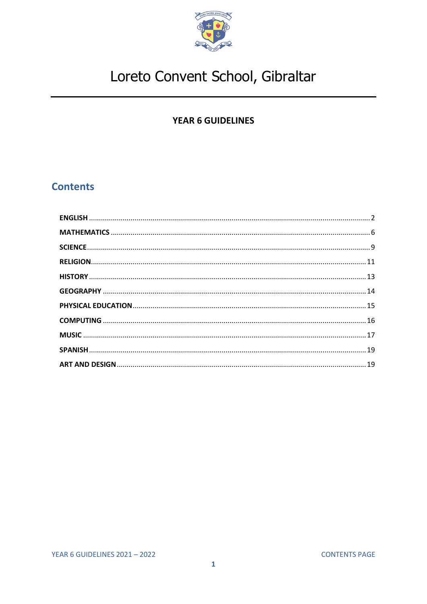

### **YEAR 6 GUIDELINES**

## <span id="page-0-0"></span>**Contents**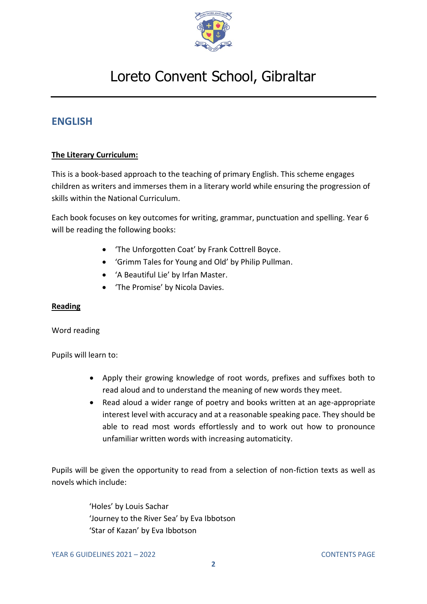

## <span id="page-1-0"></span>**ENGLISH**

### **The Literary Curriculum:**

This is a book-based approach to the teaching of primary English. This scheme engages children as writers and immerses them in a literary world while ensuring the progression of skills within the National Curriculum.

Each book focuses on key outcomes for writing, grammar, punctuation and spelling. Year 6 will be reading the following books:

- 'The Unforgotten Coat' by Frank Cottrell Boyce.
- 'Grimm Tales for Young and Old' by Philip Pullman.
- 'A Beautiful Lie' by Irfan Master.
- 'The Promise' by Nicola Davies.

### **Reading**

#### Word reading

Pupils will learn to:

- Apply their growing knowledge of root words, prefixes and suffixes both to read aloud and to understand the meaning of new words they meet.
- Read aloud a wider range of poetry and books written at an age-appropriate interest level with accuracy and at a reasonable speaking pace. They should be able to read most words effortlessly and to work out how to pronounce unfamiliar written words with increasing automaticity.

Pupils will be given the opportunity to read from a selection of non-fiction texts as well as novels which include:

> 'Holes' by Louis Sachar 'Journey to the River Sea' by Eva Ibbotson 'Star of Kazan' by Eva Ibbotson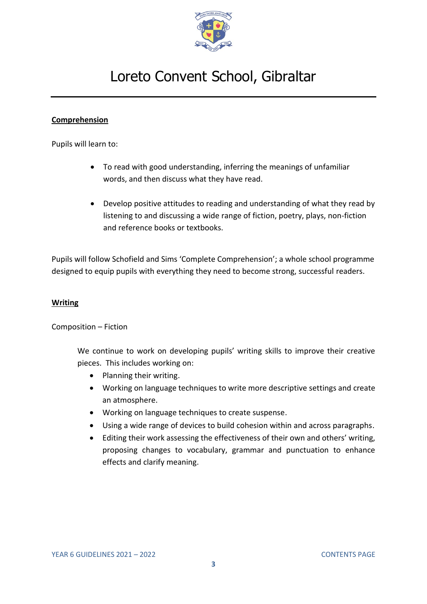

#### **Comprehension**

Pupils will learn to:

- To read with good understanding, inferring the meanings of unfamiliar words, and then discuss what they have read.
- Develop positive attitudes to reading and understanding of what they read by listening to and discussing a wide range of fiction, poetry, plays, non-fiction and reference books or textbooks.

Pupils will follow Schofield and Sims 'Complete Comprehension'; a whole school programme designed to equip pupils with everything they need to become strong, successful readers.

#### **Writing**

#### Composition – Fiction

We continue to work on developing pupils' writing skills to improve their creative pieces. This includes working on:

- Planning their writing.
- Working on language techniques to write more descriptive settings and create an atmosphere.
- Working on language techniques to create suspense.
- Using a wide range of devices to build cohesion within and across paragraphs.
- Editing their work assessing the effectiveness of their own and others' writing, proposing changes to vocabulary, grammar and punctuation to enhance effects and clarify meaning.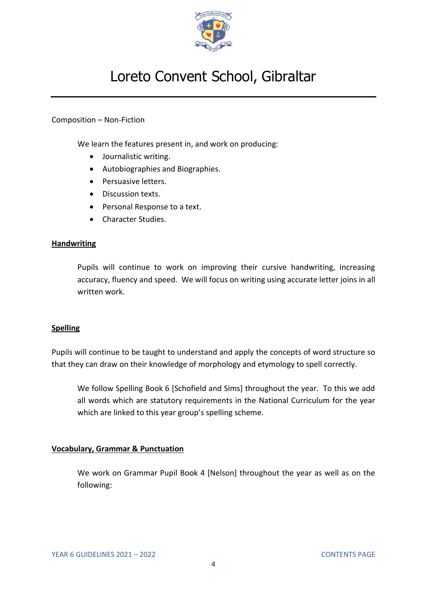

#### Composition – Non-Fiction

We learn the features present in, and work on producing:

- Journalistic writing.
- Autobiographies and Biographies.
- Persuasive letters.
- Discussion texts.
- Personal Response to a text.
- Character Studies.

#### **Handwriting**

Pupils will continue to work on improving their cursive handwriting, increasing accuracy, fluency and speed. We will focus on writing using accurate letter joins in all written work.

#### **Spelling**

Pupils will continue to be taught to understand and apply the concepts of word structure so that they can draw on their knowledge of morphology and etymology to spell correctly.

We follow Spelling Book 6 [Schofield and Sims] throughout the year. To this we add all words which are statutory requirements in the National Curriculum for the year which are linked to this year group's spelling scheme.

#### **Vocabulary, Grammar & Punctuation**

We work on Grammar Pupil Book 4 [Nelson] throughout the year as well as on the following: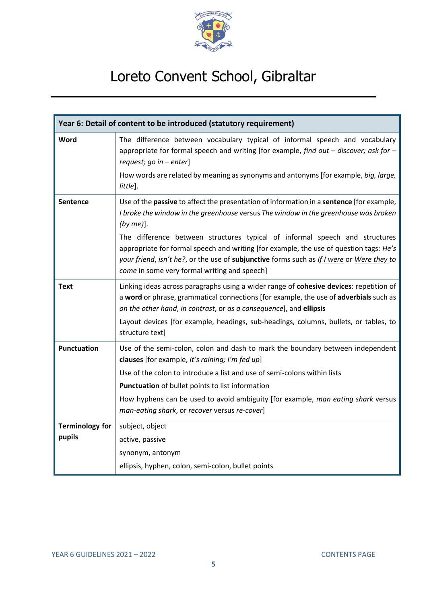

| Year 6: Detail of content to be introduced (statutory requirement) |                                                                                                                                                                                                                                                                                                                                                                                                                                                                                                                       |  |
|--------------------------------------------------------------------|-----------------------------------------------------------------------------------------------------------------------------------------------------------------------------------------------------------------------------------------------------------------------------------------------------------------------------------------------------------------------------------------------------------------------------------------------------------------------------------------------------------------------|--|
| Word                                                               | The difference between vocabulary typical of informal speech and vocabulary<br>appropriate for formal speech and writing [for example, find out $-$ discover; ask for $-$<br>request; go in $-$ enter]<br>How words are related by meaning as synonyms and antonyms [for example, big, large,<br>little].                                                                                                                                                                                                             |  |
| <b>Sentence</b>                                                    | Use of the passive to affect the presentation of information in a sentence [for example,<br>I broke the window in the greenhouse versus The window in the greenhouse was broken<br>$(by me)$ ].<br>The difference between structures typical of informal speech and structures<br>appropriate for formal speech and writing [for example, the use of question tags: He's<br>your friend, isn't he?, or the use of subjunctive forms such as If I were or Were they to<br>come in some very formal writing and speech] |  |
| <b>Text</b>                                                        | Linking ideas across paragraphs using a wider range of cohesive devices: repetition of<br>a word or phrase, grammatical connections [for example, the use of adverbials such as<br>on the other hand, in contrast, or as a consequence], and ellipsis<br>Layout devices [for example, headings, sub-headings, columns, bullets, or tables, to<br>structure text]                                                                                                                                                      |  |
| <b>Punctuation</b>                                                 | Use of the semi-colon, colon and dash to mark the boundary between independent<br>clauses [for example, It's raining; I'm fed up]<br>Use of the colon to introduce a list and use of semi-colons within lists<br>Punctuation of bullet points to list information<br>How hyphens can be used to avoid ambiguity [for example, man eating shark versus<br>man-eating shark, or recover versus re-cover]                                                                                                                |  |
| <b>Terminology for</b><br>pupils                                   | subject, object<br>active, passive<br>synonym, antonym<br>ellipsis, hyphen, colon, semi-colon, bullet points                                                                                                                                                                                                                                                                                                                                                                                                          |  |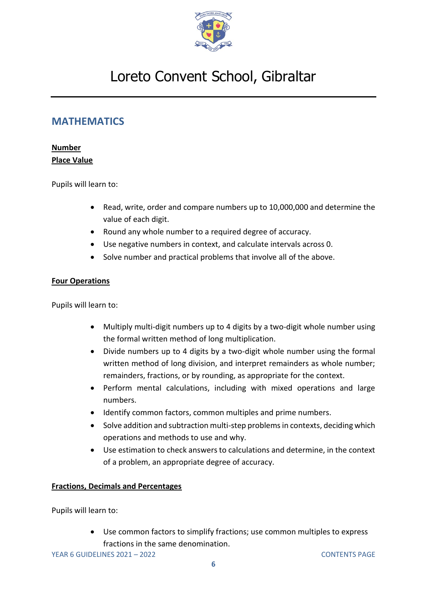

### <span id="page-5-0"></span>**MATHEMATICS**

### **Number Place Value**

Pupils will learn to:

• Read, write, order and compare numbers up to 10,000,000 and determine the value of each digit.

- Round any whole number to a required degree of accuracy.
- Use negative numbers in context, and calculate intervals across 0.
- Solve number and practical problems that involve all of the above.

### **Four Operations**

Pupils will learn to:

- Multiply multi-digit numbers up to 4 digits by a two-digit whole number using the formal written method of long multiplication.
- Divide numbers up to 4 digits by a two-digit whole number using the formal written method of long division, and interpret remainders as whole number; remainders, fractions, or by rounding, as appropriate for the context.
- Perform mental calculations, including with mixed operations and large numbers.
- Identify common factors, common multiples and prime numbers.
- Solve addition and subtraction multi-step problems in contexts, deciding which operations and methods to use and why.
- Use estimation to check answers to calculations and determine, in the context of a problem, an appropriate degree of accuracy.

### **Fractions, Decimals and Percentages**

Pupils will learn to:

• Use common factors to simplify fractions; use common multiples to express fractions in the same denomination.

YEAR 6 GUIDELINES 2021 – 2022 [CONTENTS PAGE](#page-0-0)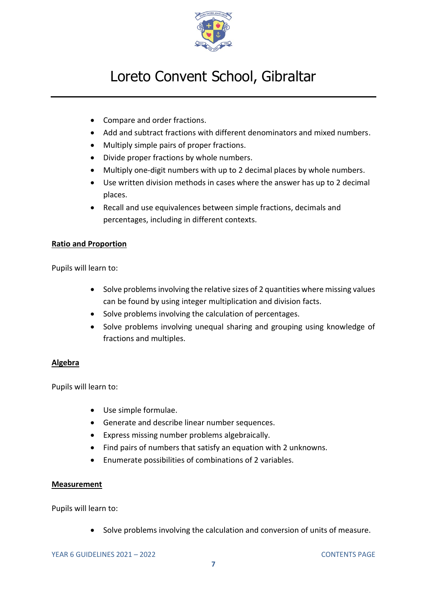

- Compare and order fractions.
- Add and subtract fractions with different denominators and mixed numbers.
- Multiply simple pairs of proper fractions.
- Divide proper fractions by whole numbers.
- Multiply one-digit numbers with up to 2 decimal places by whole numbers.
- Use written division methods in cases where the answer has up to 2 decimal places.
- Recall and use equivalences between simple fractions, decimals and percentages, including in different contexts.

### **Ratio and Proportion**

Pupils will learn to:

- Solve problems involving the relative sizes of 2 quantities where missing values can be found by using integer multiplication and division facts.
- Solve problems involving the calculation of percentages.
- Solve problems involving unequal sharing and grouping using knowledge of fractions and multiples.

### **Algebra**

Pupils will learn to:

- Use simple formulae.
- Generate and describe linear number sequences.
- Express missing number problems algebraically.
- Find pairs of numbers that satisfy an equation with 2 unknowns.
- Enumerate possibilities of combinations of 2 variables.

#### **Measurement**

Pupils will learn to:

• Solve problems involving the calculation and conversion of units of measure.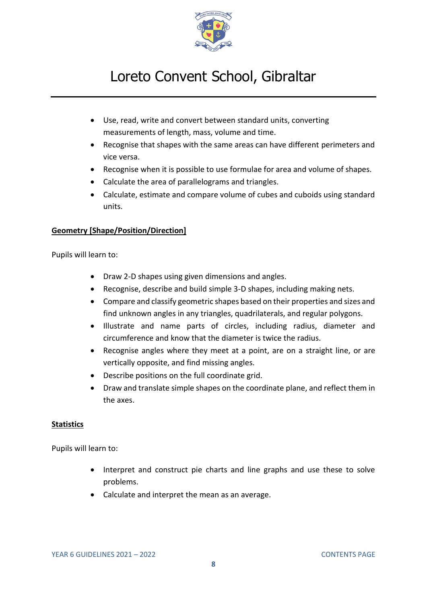

- Use, read, write and convert between standard units, converting measurements of length, mass, volume and time.
- Recognise that shapes with the same areas can have different perimeters and vice versa.
- Recognise when it is possible to use formulae for area and volume of shapes.
- Calculate the area of parallelograms and triangles.
- Calculate, estimate and compare volume of cubes and cuboids using standard units.

### **Geometry [Shape/Position/Direction]**

Pupils will learn to:

- Draw 2-D shapes using given dimensions and angles.
- Recognise, describe and build simple 3-D shapes, including making nets.
- Compare and classify geometric shapes based on their properties and sizes and find unknown angles in any triangles, quadrilaterals, and regular polygons.
- Illustrate and name parts of circles, including radius, diameter and circumference and know that the diameter is twice the radius.
- Recognise angles where they meet at a point, are on a straight line, or are vertically opposite, and find missing angles.
- Describe positions on the full coordinate grid.
- Draw and translate simple shapes on the coordinate plane, and reflect them in the axes.

### **Statistics**

- Interpret and construct pie charts and line graphs and use these to solve problems.
- Calculate and interpret the mean as an average.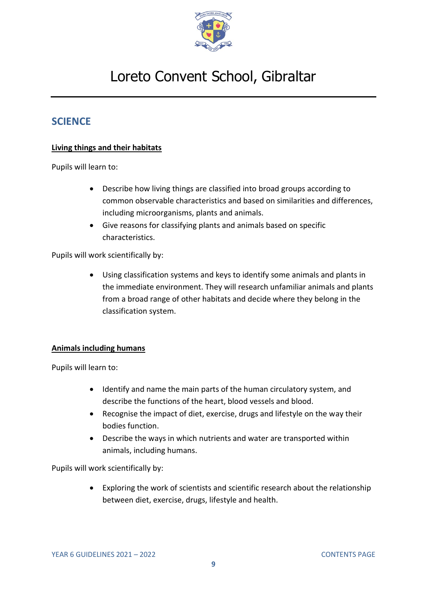

## <span id="page-8-0"></span>**SCIENCE**

### **Living things and their habitats**

Pupils will learn to:

- Describe how living things are classified into broad groups according to common observable characteristics and based on similarities and differences, including microorganisms, plants and animals.
- Give reasons for classifying plants and animals based on specific characteristics.

Pupils will work scientifically by:

• Using classification systems and keys to identify some animals and plants in the immediate environment. They will research unfamiliar animals and plants from a broad range of other habitats and decide where they belong in the classification system.

#### **Animals including humans**

Pupils will learn to:

- Identify and name the main parts of the human circulatory system, and describe the functions of the heart, blood vessels and blood.
- Recognise the impact of diet, exercise, drugs and lifestyle on the way their bodies function.
- Describe the ways in which nutrients and water are transported within animals, including humans.

Pupils will work scientifically by:

• Exploring the work of scientists and scientific research about the relationship between diet, exercise, drugs, lifestyle and health.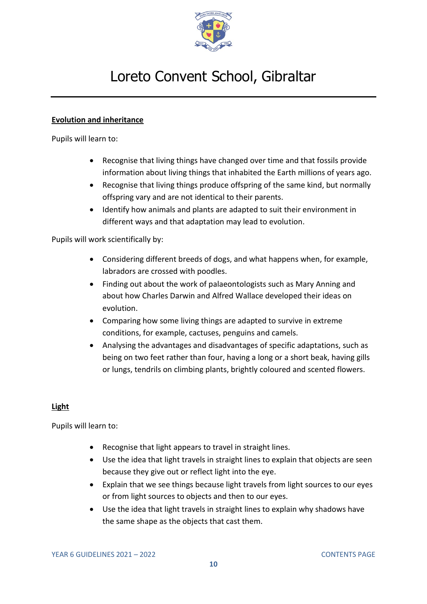

### **Evolution and inheritance**

Pupils will learn to:

- Recognise that living things have changed over time and that fossils provide information about living things that inhabited the Earth millions of years ago.
- Recognise that living things produce offspring of the same kind, but normally offspring vary and are not identical to their parents.
- Identify how animals and plants are adapted to suit their environment in different ways and that adaptation may lead to evolution.

Pupils will work scientifically by:

- Considering different breeds of dogs, and what happens when, for example, labradors are crossed with poodles.
- Finding out about the work of palaeontologists such as Mary Anning and about how Charles Darwin and Alfred Wallace developed their ideas on evolution.
- Comparing how some living things are adapted to survive in extreme conditions, for example, cactuses, penguins and camels.
- Analysing the advantages and disadvantages of specific adaptations, such as being on two feet rather than four, having a long or a short beak, having gills or lungs, tendrils on climbing plants, brightly coloured and scented flowers.

### **Light**

- Recognise that light appears to travel in straight lines.
- Use the idea that light travels in straight lines to explain that objects are seen because they give out or reflect light into the eye.
- Explain that we see things because light travels from light sources to our eyes or from light sources to objects and then to our eyes.
- Use the idea that light travels in straight lines to explain why shadows have the same shape as the objects that cast them.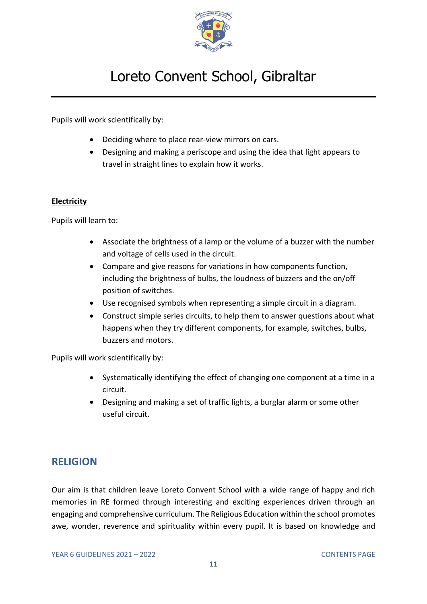

Pupils will work scientifically by:

- Deciding where to place rear-view mirrors on cars.
- Designing and making a periscope and using the idea that light appears to travel in straight lines to explain how it works.

#### **Electricity**

Pupils will learn to:

- Associate the brightness of a lamp or the volume of a buzzer with the number and voltage of cells used in the circuit.
- Compare and give reasons for variations in how components function, including the brightness of bulbs, the loudness of buzzers and the on/off position of switches.
- Use recognised symbols when representing a simple circuit in a diagram.
- Construct simple series circuits, to help them to answer questions about what happens when they try different components, for example, switches, bulbs, buzzers and motors.

Pupils will work scientifically by:

- Systematically identifying the effect of changing one component at a time in a circuit.
- Designing and making a set of traffic lights, a burglar alarm or some other useful circuit.

## <span id="page-10-0"></span>**RELIGION**

Our aim is that children leave Loreto Convent School with a wide range of happy and rich memories in RE formed through interesting and exciting experiences driven through an engaging and comprehensive curriculum. The Religious Education within the school promotes awe, wonder, reverence and spirituality within every pupil. It is based on knowledge and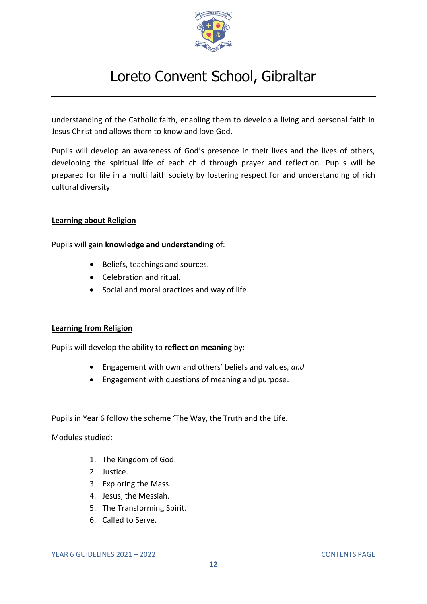

understanding of the Catholic faith, enabling them to develop a living and personal faith in Jesus Christ and allows them to know and love God.

Pupils will develop an awareness of God's presence in their lives and the lives of others, developing the spiritual life of each child through prayer and reflection. Pupils will be prepared for life in a multi faith society by fostering respect for and understanding of rich cultural diversity.

#### **Learning about Religion**

Pupils will gain **knowledge and understanding** of:

- Beliefs, teachings and sources.
- Celebration and ritual.
- Social and moral practices and way of life.

#### **Learning from Religion**

Pupils will develop the ability to **reflect on meaning** by**:**

- Engagement with own and others' beliefs and values, *and*
- Engagement with questions of meaning and purpose.

Pupils in Year 6 follow the scheme 'The Way, the Truth and the Life.

Modules studied:

- 1. The Kingdom of God.
- 2. Justice.
- 3. Exploring the Mass.
- 4. Jesus, the Messiah.
- 5. The Transforming Spirit.
- 6. Called to Serve.

YEAR 6 GUIDELINES 2021 – 2022 [CONTENTS PAGE](#page-0-0)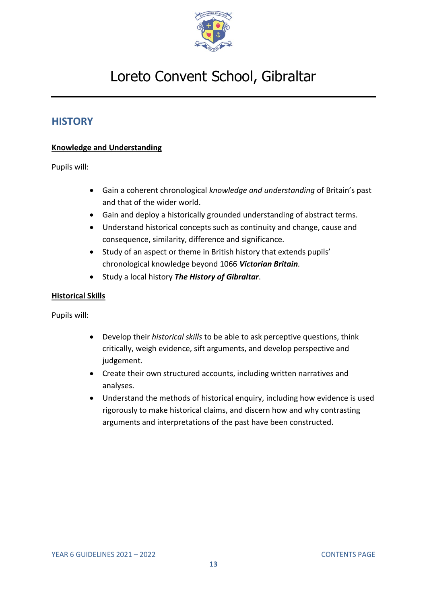

## <span id="page-12-0"></span>**HISTORY**

### **Knowledge and Understanding**

Pupils will:

- Gain a coherent chronological *knowledge and understanding* of Britain's past and that of the wider world.
- Gain and deploy a historically grounded understanding of abstract terms.
- Understand historical concepts such as continuity and change, cause and consequence, similarity, difference and significance.
- Study of an aspect or theme in British history that extends pupils' chronological knowledge beyond 1066 *Victorian Britain.*
- Study a local history *The History of Gibraltar*.

#### **Historical Skills**

Pupils will:

- Develop their *historical skills* to be able to ask perceptive questions, think critically, weigh evidence, sift arguments, and develop perspective and judgement.
- Create their own structured accounts, including written narratives and analyses.
- Understand the methods of historical enquiry, including how evidence is used rigorously to make historical claims, and discern how and why contrasting arguments and interpretations of the past have been constructed.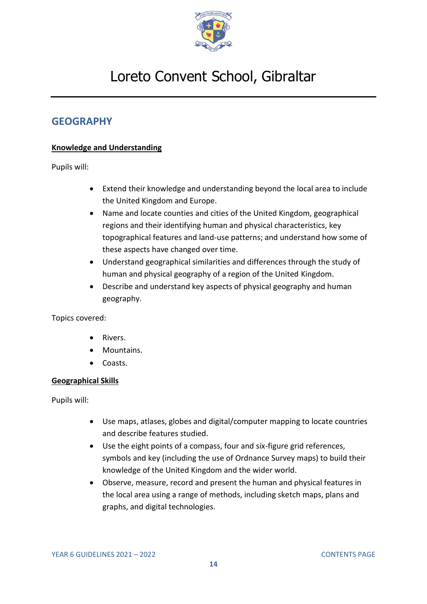

## <span id="page-13-0"></span>**GEOGRAPHY**

### **Knowledge and Understanding**

Pupils will:

- Extend their knowledge and understanding beyond the local area to include the United Kingdom and Europe.
- Name and locate counties and cities of the United Kingdom, geographical regions and their identifying human and physical characteristics, key topographical features and land-use patterns; and understand how some of these aspects have changed over time.
- Understand geographical similarities and differences through the study of human and physical geography of a region of the United Kingdom.
- Describe and understand key aspects of physical geography and human geography.

Topics covered:

- Rivers.
- Mountains.
- Coasts.

### **Geographical Skills**

Pupils will:

- Use maps, atlases, globes and digital/computer mapping to locate countries and describe features studied.
- Use the eight points of a compass, four and six-figure grid references, symbols and key (including the use of Ordnance Survey maps) to build their knowledge of the United Kingdom and the wider world.
- Observe, measure, record and present the human and physical features in the local area using a range of methods, including sketch maps, plans and graphs, and digital technologies.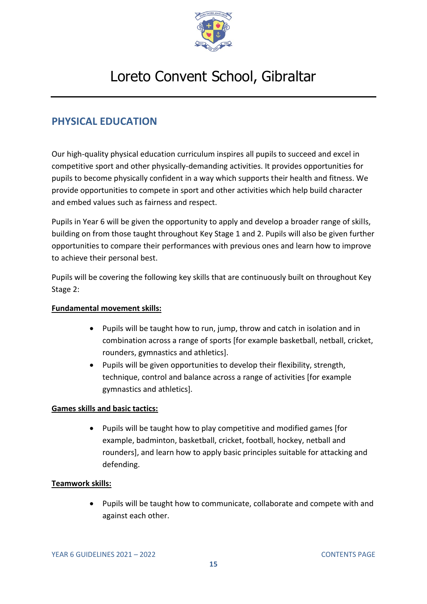

## <span id="page-14-0"></span>**PHYSICAL EDUCATION**

Our high-quality physical education curriculum inspires all pupils to succeed and excel in competitive sport and other physically-demanding activities. It provides opportunities for pupils to become physically confident in a way which supports their health and fitness. We provide opportunities to compete in sport and other activities which help build character and embed values such as fairness and respect.

Pupils in Year 6 will be given the opportunity to apply and develop a broader range of skills, building on from those taught throughout Key Stage 1 and 2. Pupils will also be given further opportunities to compare their performances with previous ones and learn how to improve to achieve their personal best.

Pupils will be covering the following key skills that are continuously built on throughout Key Stage 2:

### **Fundamental movement skills:**

- Pupils will be taught how to run, jump, throw and catch in isolation and in combination across a range of sports [for example basketball, netball, cricket, rounders, gymnastics and athletics].
- Pupils will be given opportunities to develop their flexibility, strength, technique, control and balance across a range of activities [for example gymnastics and athletics].

### **Games skills and basic tactics:**

• Pupils will be taught how to play competitive and modified games [for example, badminton, basketball, cricket, football, hockey, netball and rounders], and learn how to apply basic principles suitable for attacking and defending.

### **Teamwork skills:**

• Pupils will be taught how to communicate, collaborate and compete with and against each other.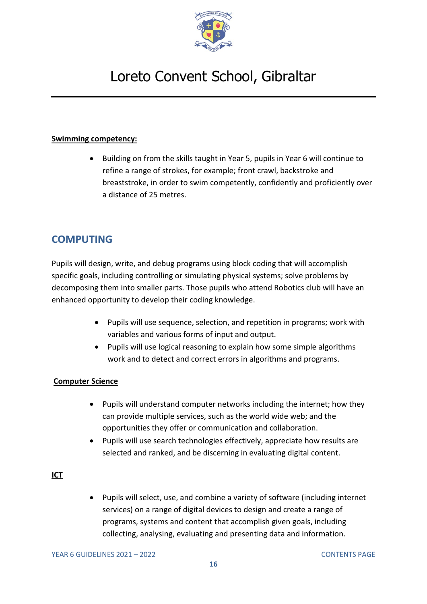

### **Swimming competency:**

• Building on from the skills taught in Year 5, pupils in Year 6 will continue to refine a range of strokes, for example; front crawl, backstroke and breaststroke, in order to swim competently, confidently and proficiently over a distance of 25 metres.

## <span id="page-15-0"></span>**COMPUTING**

Pupils will design, write, and debug programs using block coding that will accomplish specific goals, including controlling or simulating physical systems; solve problems by decomposing them into smaller parts. Those pupils who attend Robotics club will have an enhanced opportunity to develop their coding knowledge.

- Pupils will use sequence, selection, and repetition in programs; work with variables and various forms of input and output.
- Pupils will use logical reasoning to explain how some simple algorithms work and to detect and correct errors in algorithms and programs.

### **Computer Science**

- Pupils will understand computer networks including the internet; how they can provide multiple services, such as the world wide web; and the opportunities they offer or communication and collaboration.
- Pupils will use search technologies effectively, appreciate how results are selected and ranked, and be discerning in evaluating digital content.

### **ICT**

• Pupils will select, use, and combine a variety of software (including internet services) on a range of digital devices to design and create a range of programs, systems and content that accomplish given goals, including collecting, analysing, evaluating and presenting data and information.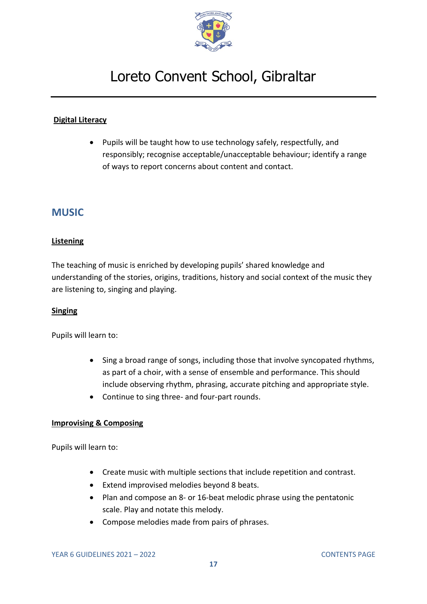

### **Digital Literacy**

• Pupils will be taught how to use technology safely, respectfully, and responsibly; recognise acceptable/unacceptable behaviour; identify a range of ways to report concerns about content and contact.

### <span id="page-16-0"></span>**MUSIC**

#### **Listening**

The teaching of music is enriched by developing pupils' shared knowledge and understanding of the stories, origins, traditions, history and social context of the music they are listening to, singing and playing.

#### **Singing**

Pupils will learn to:

- Sing a broad range of songs, including those that involve syncopated rhythms, as part of a choir, with a sense of ensemble and performance. This should include observing rhythm, phrasing, accurate pitching and appropriate style.
- Continue to sing three- and four-part rounds.

#### **Improvising & Composing**

- Create music with multiple sections that include repetition and contrast.
- Extend improvised melodies beyond 8 beats.
- Plan and compose an 8- or 16-beat melodic phrase using the pentatonic scale. Play and notate this melody.
- Compose melodies made from pairs of phrases.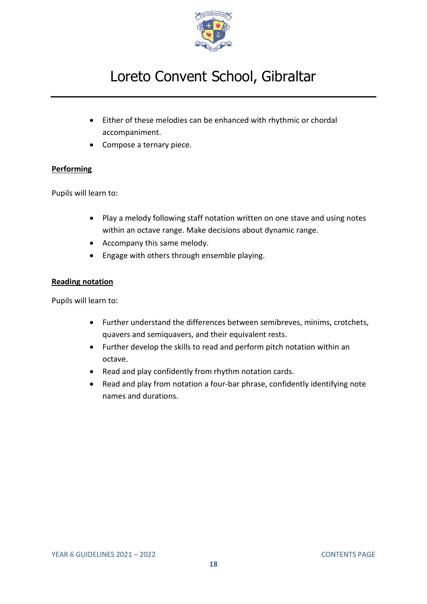

- Either of these melodies can be enhanced with rhythmic or chordal accompaniment.
- Compose a ternary piece.

### **Performing**

Pupils will learn to:

- Play a melody following staff notation written on one stave and using notes within an octave range. Make decisions about dynamic range.
- Accompany this same melody.
- Engage with others through ensemble playing.

#### **Reading notation**

- Further understand the differences between semibreves, minims, crotchets, quavers and semiquavers, and their equivalent rests.
- Further develop the skills to read and perform pitch notation within an octave.
- Read and play confidently from rhythm notation cards.
- Read and play from notation a four-bar phrase, confidently identifying note names and durations.